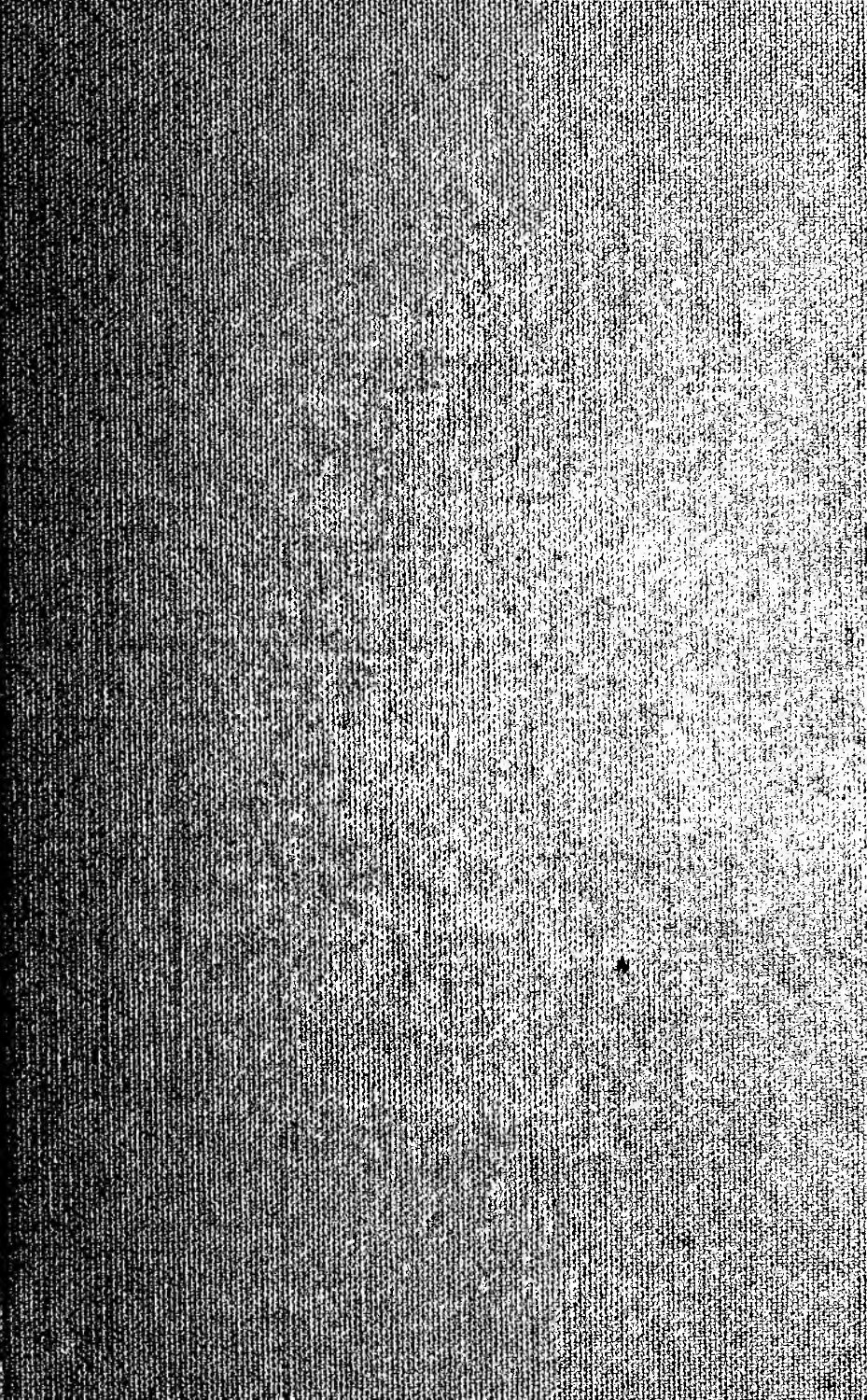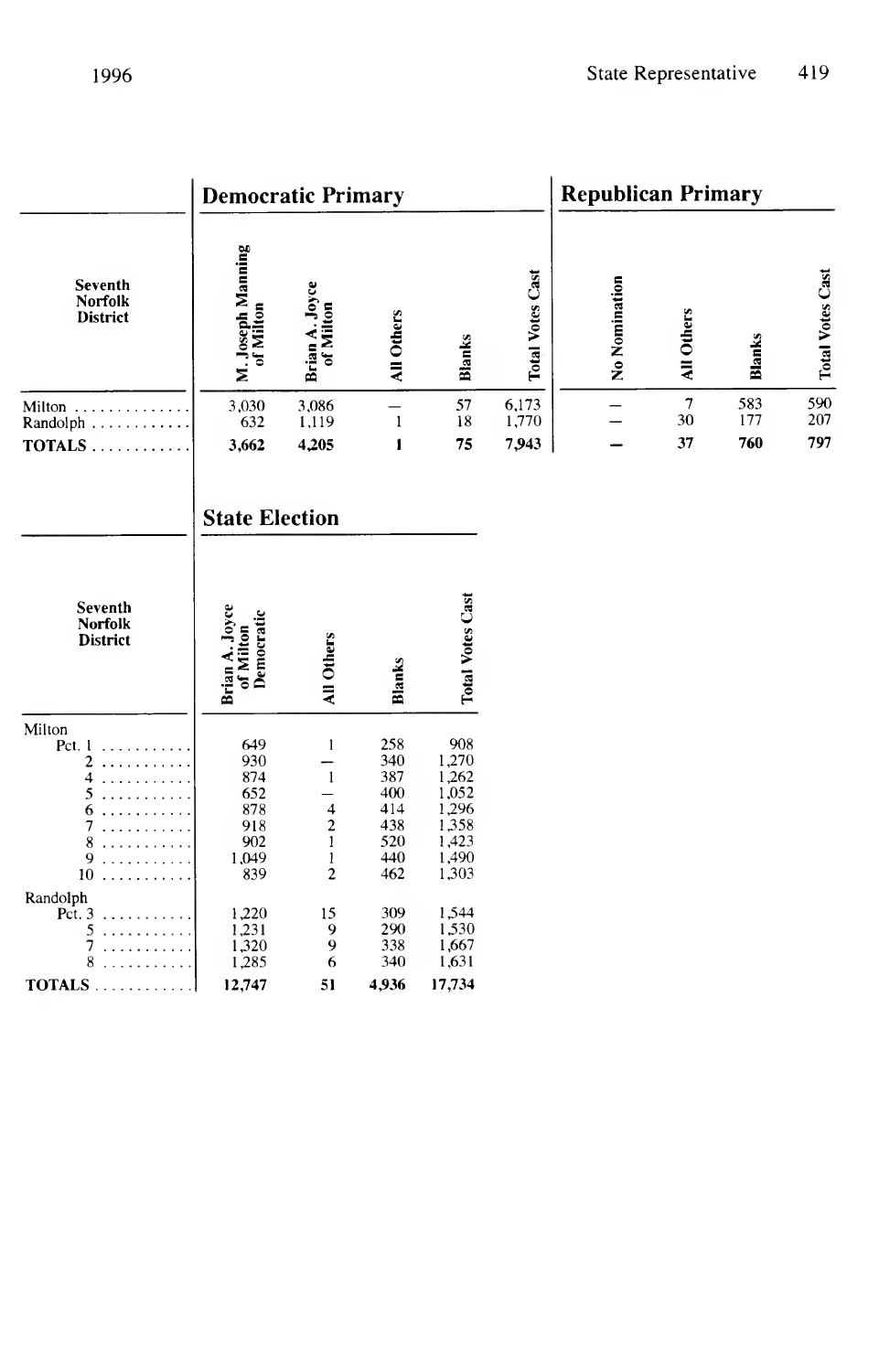|                                                                                     | <b>Democratic Primary</b>                                          |                                                                               |                                                             |                                                                             |                         | <b>Republican Primary</b> |                    |                   |                         |
|-------------------------------------------------------------------------------------|--------------------------------------------------------------------|-------------------------------------------------------------------------------|-------------------------------------------------------------|-----------------------------------------------------------------------------|-------------------------|---------------------------|--------------------|-------------------|-------------------------|
| Seventh<br>Norfolk<br><b>District</b>                                               | M. Joseph Manning<br>of Milton                                     | Brian A. Joyce<br>of Milton                                                   | All Others                                                  | Blanks                                                                      | <b>Total Votes Cast</b> | No Nomination             | All Others         | Blanks            | <b>Total Votes Cast</b> |
| Milton<br>Randolph<br>TOTALS                                                        | 3,030<br>632<br>3,662                                              | 3,086<br>1,119<br>4,205                                                       | $\overline{\phantom{0}}$<br>$\mathbf{1}$<br>$\mathbf{I}$    | 57<br>18<br>75                                                              | 6,173<br>1,770<br>7,943 | -                         | $\tau$<br>30<br>37 | 583<br>177<br>760 | 590<br>207<br>797       |
| Seventh<br>Norfolk<br><b>District</b>                                               | <b>State Election</b><br>Brian A. Joyce<br>Democratic<br>of Milton | All Others                                                                    | <b>Blanks</b>                                               | <b>Total Votes Cast</b>                                                     |                         |                           |                    |                   |                         |
| Milton<br>Pct. 1<br>2<br>4<br>5<br>.<br>6<br>.<br>.<br>8<br>.<br>9<br>.<br>10       | 649<br>930<br>874<br>652<br>878<br>918<br>902<br>1,049<br>839      | $\mathbf{l}$<br>$\mathbf{1}$<br>4<br>2<br>$\mathbf{1}$<br>1<br>$\overline{c}$ | 258<br>340<br>387<br>400<br>414<br>438<br>520<br>440<br>462 | 908<br>1,270<br>1,262<br>1,052<br>1,296<br>1,358<br>1,423<br>1,490<br>1,303 |                         |                           |                    |                   |                         |
| Randolph<br>Pct. $3 \ldots \ldots \ldots$<br>5<br>.<br>7<br>.<br>8<br>.<br>$TOTALS$ | 1,220<br>1,231<br>1,320<br>1,285<br>12,747                         | 15<br>9<br>9<br>6<br>51                                                       | 309<br>290<br>338<br>340<br>4,936                           | 1,544<br>1,530<br>1,667<br>1,631<br>17,734                                  |                         |                           |                    |                   |                         |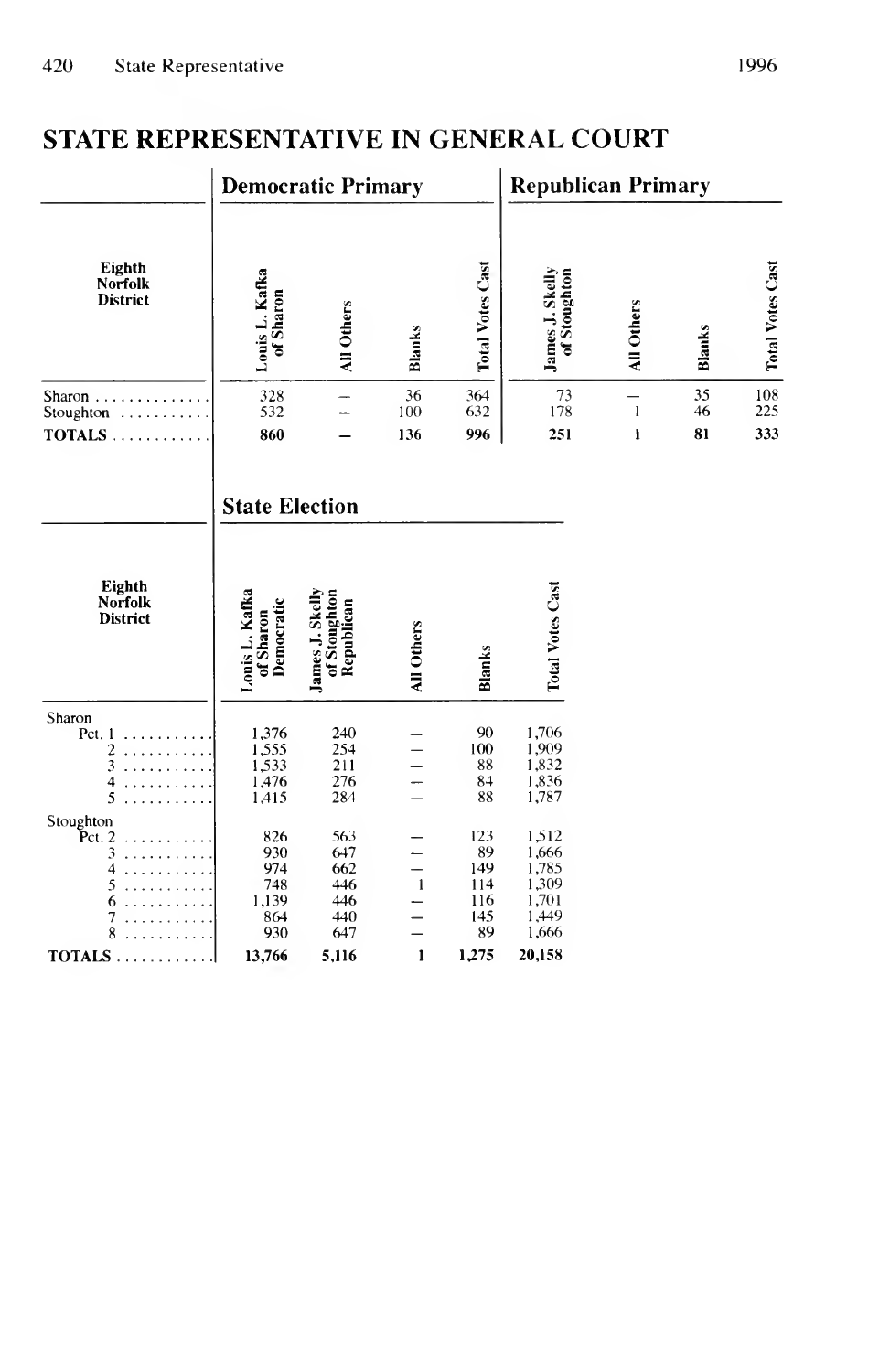| Louis L. Kafka<br>of Sharon                     | All Others                                    | Blanks                                                   | <b>Total Votes Cast</b>                             | James J. Skelly<br>of Stoughton                             | <b>All Others</b>                             | Blanks         | <b>Total Votes Cast</b>   |
|-------------------------------------------------|-----------------------------------------------|----------------------------------------------------------|-----------------------------------------------------|-------------------------------------------------------------|-----------------------------------------------|----------------|---------------------------|
| 328<br>532<br>860                               |                                               | 36<br>100<br>136                                         | 364<br>632<br>996                                   | 73<br>178<br>251                                            | $\overline{\phantom{0}}$<br>$\mathbf{1}$<br>ı | 35<br>46<br>81 | 108<br>225<br>333         |
|                                                 |                                               |                                                          |                                                     |                                                             |                                               |                |                           |
| Democratic<br>of Sharon                         | of Stoughton<br>Republican                    |                                                          |                                                     |                                                             |                                               |                |                           |
| 1,376<br>1,555<br>1,533<br>1,476                | 240<br>254<br>211<br>276                      |                                                          | 90<br>100<br>88<br>84<br>88                         | 1,706<br>1,909<br>1,832<br>1,836<br>1,787                   |                                               |                |                           |
| 826<br>930<br>974<br>748<br>1,139<br>864<br>930 | 563<br>647<br>662<br>446<br>446<br>440<br>647 | $\mathbf{1}$<br>$\overline{\phantom{0}}$                 | 123<br>89<br>149<br>114<br>116<br>145<br>89         | 1,512<br>1,666<br>1,785<br>1,309<br>1,701<br>1,449<br>1,666 |                                               |                |                           |
|                                                 | Louis L. Kafka<br>1,415<br>13,766             | <b>State Election</b><br>James J. Skelly<br>284<br>5,116 | <b>Democratic Primary</b><br><b>All Others</b><br>ı | Blanks<br>1,275                                             | <b>Total Votes Cast</b><br>20,158             |                | <b>Republican Primary</b> |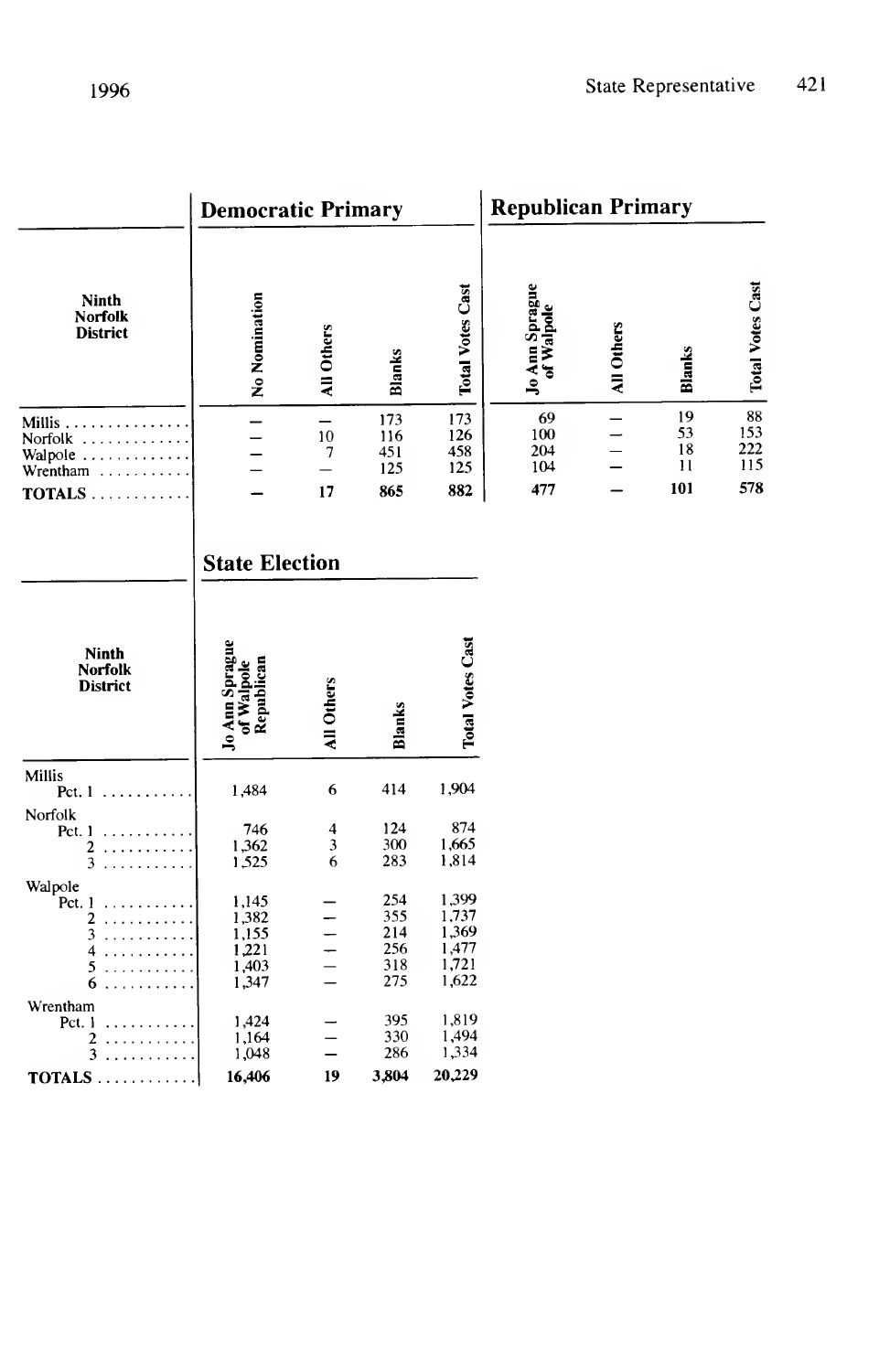|                                                                                                  | <b>Democratic Primary</b>                          |                                                                                    |                                        |                                                    | <b>Republican Primary</b>            |                               |                             |                                |
|--------------------------------------------------------------------------------------------------|----------------------------------------------------|------------------------------------------------------------------------------------|----------------------------------------|----------------------------------------------------|--------------------------------------|-------------------------------|-----------------------------|--------------------------------|
| Ninth<br>Norfolk<br><b>District</b>                                                              | No Nomination                                      | <b>All Others</b>                                                                  | <b>Blanks</b>                          | <b>Total Votes Cast</b>                            | <b>Jo Ann Sprague<br/>of Walpole</b> | All Others                    | Blanks                      | <b>Total Votes Cast</b>        |
| Millis<br>Norfolk<br>Walpole<br>Wrentham<br>TOTALS                                               | $\overline{\phantom{0}}$                           | $\overline{\phantom{0}}$<br>10<br>$\overline{7}$<br>$\overline{\phantom{0}}$<br>17 | 173<br>116<br>451<br>125<br>865        | 173<br>126<br>458<br>125<br>882                    | 69<br>100<br>204<br>104<br>477       | —<br>$\overline{\phantom{0}}$ | 19<br>53<br>18<br>11<br>101 | 88<br>153<br>222<br>115<br>578 |
|                                                                                                  | <b>State Election</b>                              |                                                                                    |                                        |                                                    |                                      |                               |                             |                                |
| Ninth<br><b>Norfolk</b><br><b>District</b>                                                       | <b>Jo Ann Sprague</b><br>of Walpole<br>Republican  | All Others                                                                         | Blanks                                 | <b>Total Votes Cast</b>                            |                                      |                               |                             |                                |
| Millis<br>Pct. $1 \ldots$<br>.                                                                   | 1,484                                              | 6                                                                                  | 414                                    | 1,904                                              |                                      |                               |                             |                                |
| Norfolk<br>Pct. $1$<br>2<br>3                                                                    | 746<br>1,362<br>1,525                              | 4<br>3<br>6                                                                        | 124<br>300<br>283                      | 874<br>1,665<br>1,814                              |                                      |                               |                             |                                |
| Walpole<br>Pct. $1, \ldots, \ldots, \ldots$<br>2<br>.<br>3<br><u>.</u><br>4<br>.<br>5<br>.<br>6. | 1,145<br>1,382<br>1,155<br>1,221<br>1,403<br>1,347 | $\overline{\phantom{0}}$                                                           | 254<br>355<br>214<br>256<br>318<br>275 | 1,399<br>1,737<br>1,369<br>1,477<br>1,721<br>1,622 |                                      |                               |                             |                                |
| Wrentham<br>Pct. 1<br>.<br>2<br>.<br>3<br>.<br>$TOTALS$                                          | 1,424<br>1,164<br>1,048<br>16,406                  | 19                                                                                 | 395<br>330<br>286<br>3.804             | 1,819<br>1,494<br>1,334<br>20,229                  |                                      |                               |                             |                                |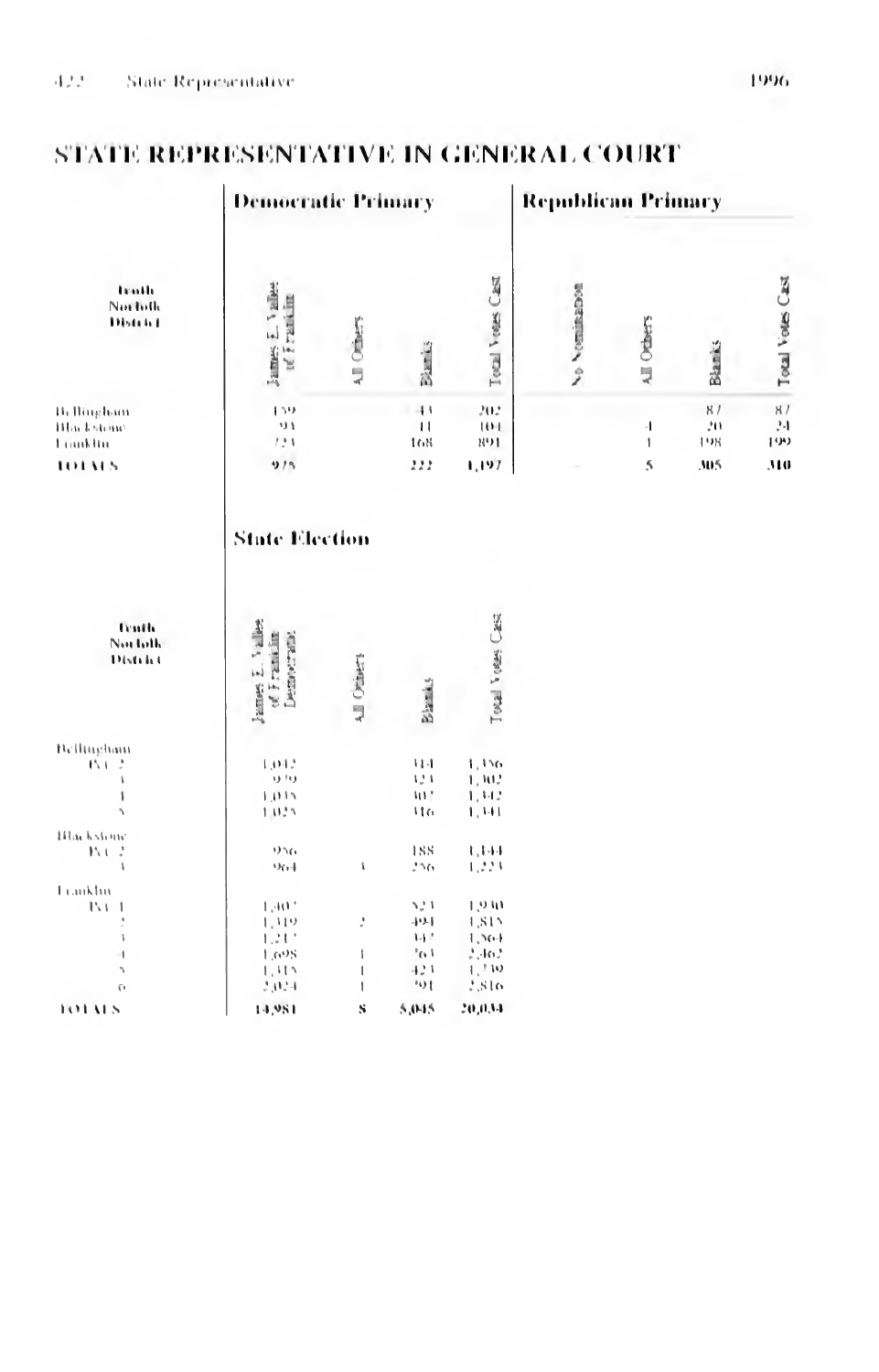|                                                           |                                               | <b>Democratic Primary</b> |                                                   |                                  |                      |                                                        | <b>Republican Primary</b>     |                                   |  |  |
|-----------------------------------------------------------|-----------------------------------------------|---------------------------|---------------------------------------------------|----------------------------------|----------------------|--------------------------------------------------------|-------------------------------|-----------------------------------|--|--|
| <b>Ivath</b><br>Nor hill<br>District                      | James E. Vallee<br><b>UCF PERSON</b>          | <b>UI Others</b>          | Blanks                                            | Total Voice Cast                 | <b>No Nomination</b> | All Others                                             | <b>Blanks</b>                 | Total Votes Cast                  |  |  |
| <b>B. Hingham</b><br><b>Hackstrue</b><br>Louklin<br>torus | 139<br>u<br>$f\geq 1$<br>913                  |                           | $-11$<br>$\mathbf{1}$<br>tris<br>222              | 202<br>$10 - 1$<br>891<br>1,197  |                      | $\cdot \mathbb{I}$<br>$\mathbf{I}$<br>$\boldsymbol{S}$ | H/<br>лì.<br><b>IM</b><br>305 | H/<br>24<br>(9)<br>$\overline{M}$ |  |  |
|                                                           | <b>State Election</b>                         |                           |                                                   |                                  |                      |                                                        |                               |                                   |  |  |
| <b>Truth</b><br>Nortotk<br>District                       | James E. Vallee<br>об Реакійні<br>Гленарстван | All Oraen                 | Blanks                                            | Total Votes Cast                 |                      |                                                        |                               |                                   |  |  |
| Bellingham<br>ハモナ<br>$\mathfrak l$<br>١<br>Ñ              | 1,042<br>ردارد<br>1,015<br>1,025              |                           | $11 - 1$<br>124<br>411<br>116                     | 1,156<br>1,302<br>1,342<br>1,341 |                      |                                                        |                               |                                   |  |  |
| Hackstone<br>15 U.P<br>$\mathbf{I}$                       | 956<br>964                                    | I.                        | 188<br>256                                        | 1,144<br>1,223                   |                      |                                                        |                               |                                   |  |  |
| Lrankhu<br>IN 1-1<br>$\mathfrak l$<br>ł,                  | 1,402<br>1,119<br>1,217<br>1.698              | J,<br>t                   | 523<br>树木<br>$1.1 +$<br>$\mathcal{L}(\mathbf{r})$ | 1,930<br>1,815<br>1,564<br>2,462 |                      |                                                        |                               |                                   |  |  |
| $\boldsymbol{\gamma}$<br>ó<br>TOTALS                      | 1,315<br>2,024<br>14,981                      | $\mathbb{I}$<br>1<br>S    | 423<br>$^{\prime}$ V $^{\prime}$<br>5,045         | 1,739<br>2,816<br>20,034         |                      |                                                        |                               |                                   |  |  |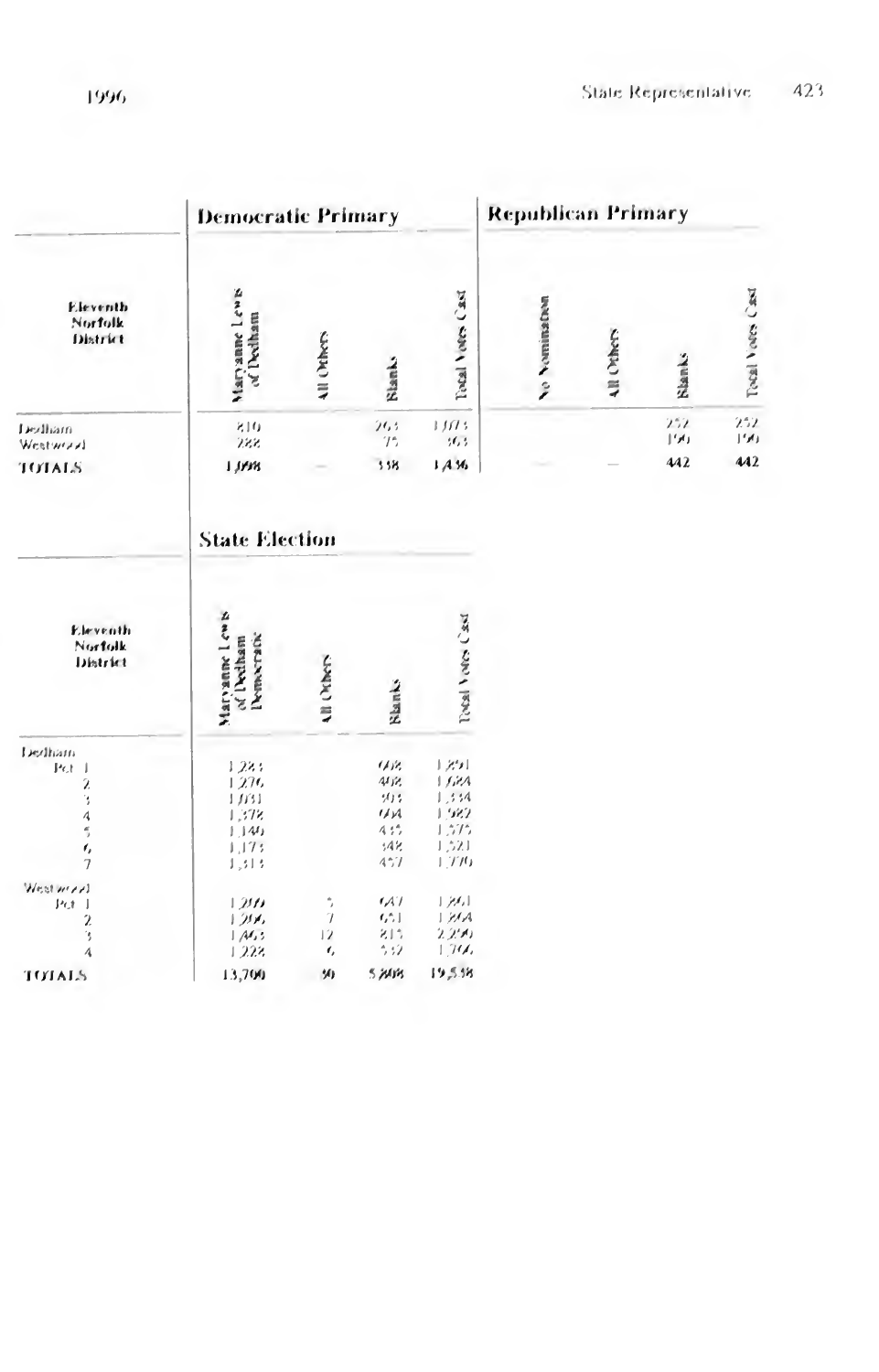|                                                                                | <b>Democratic Primary</b>                                  |                                                                         |                                                                                                 |                                                            | <b>Republican Primary</b> |             |                   |                                    |  |
|--------------------------------------------------------------------------------|------------------------------------------------------------|-------------------------------------------------------------------------|-------------------------------------------------------------------------------------------------|------------------------------------------------------------|---------------------------|-------------|-------------------|------------------------------------|--|
| Eleventh<br>Norfolk<br><b>District</b>                                         | Maryanne Lewis<br>of Peeham                                | UII Chthers                                                             | <b>Stanks</b>                                                                                   | Total Votes Cast                                           | <b>No Nomination</b>      | All Cribers | <b>Rianks</b>     | Total Votes Cast                   |  |
| mailted<br>Westwizzl<br>TOTALS                                                 | 210<br>7.7.7<br><b>LOW</b>                                 |                                                                         | $_{24.5}$<br>75<br>3.5%                                                                         | 1173<br>56.5<br>1436                                       |                           |             | 252<br> A <br>442 | 252<br>$\mid$ $\neq$ $\mid$<br>442 |  |
|                                                                                | <b>State Election</b>                                      |                                                                         |                                                                                                 |                                                            |                           |             |                   |                                    |  |
| Eleventh<br>Norfolk<br>District                                                | Maryanne Lewis<br>of Decham<br>Democratic                  | All Chibers                                                             | <b>Runks</b>                                                                                    | Total Voice Cast                                           |                           |             |                   |                                    |  |
| Dezhiam<br>Pot.<br>$\frac{1}{2}$<br>2<br>ين هو ه<br>$\ell_i$<br>$\overline{1}$ | 1283<br>1276<br>1 f531<br>1,378<br> 144<br>1,173<br>1, 113 |                                                                         | <b>UR</b><br>$41i$ ,<br>90%<br>$\frac{1}{4}$<br>$4:$ <sup>4</sup> ,<br>:42<br>$4^{\frac{n}{2}}$ | 1991<br>1/12A<br>1.334<br>1,982<br>1.575<br>1,521<br>1/T/t |                           |             |                   |                                    |  |
| Westword<br>Pot 1<br>$\mathfrak z$<br>ÿ<br>$\boldsymbol{\Lambda}$              | 1211<br>1204<br>$1/M_{\star}$<br>1,222                     | ÷,<br>$\gamma$<br>$\mid$ $\!\!$ $\!\!$ $\,$ $\!\!$ $\,$<br>$\pmb{\ell}$ | $\mathcal{A}$ /<br>$\mathfrak{c},\mathfrak{c}_i$ )<br>811<br>532<br>5 XXIX                      | 761<br>171A<br>2.250<br>179.<br>19,5.38                    |                           |             |                   |                                    |  |
| TOTALS                                                                         | 13,700                                                     | 外                                                                       |                                                                                                 |                                                            |                           |             |                   |                                    |  |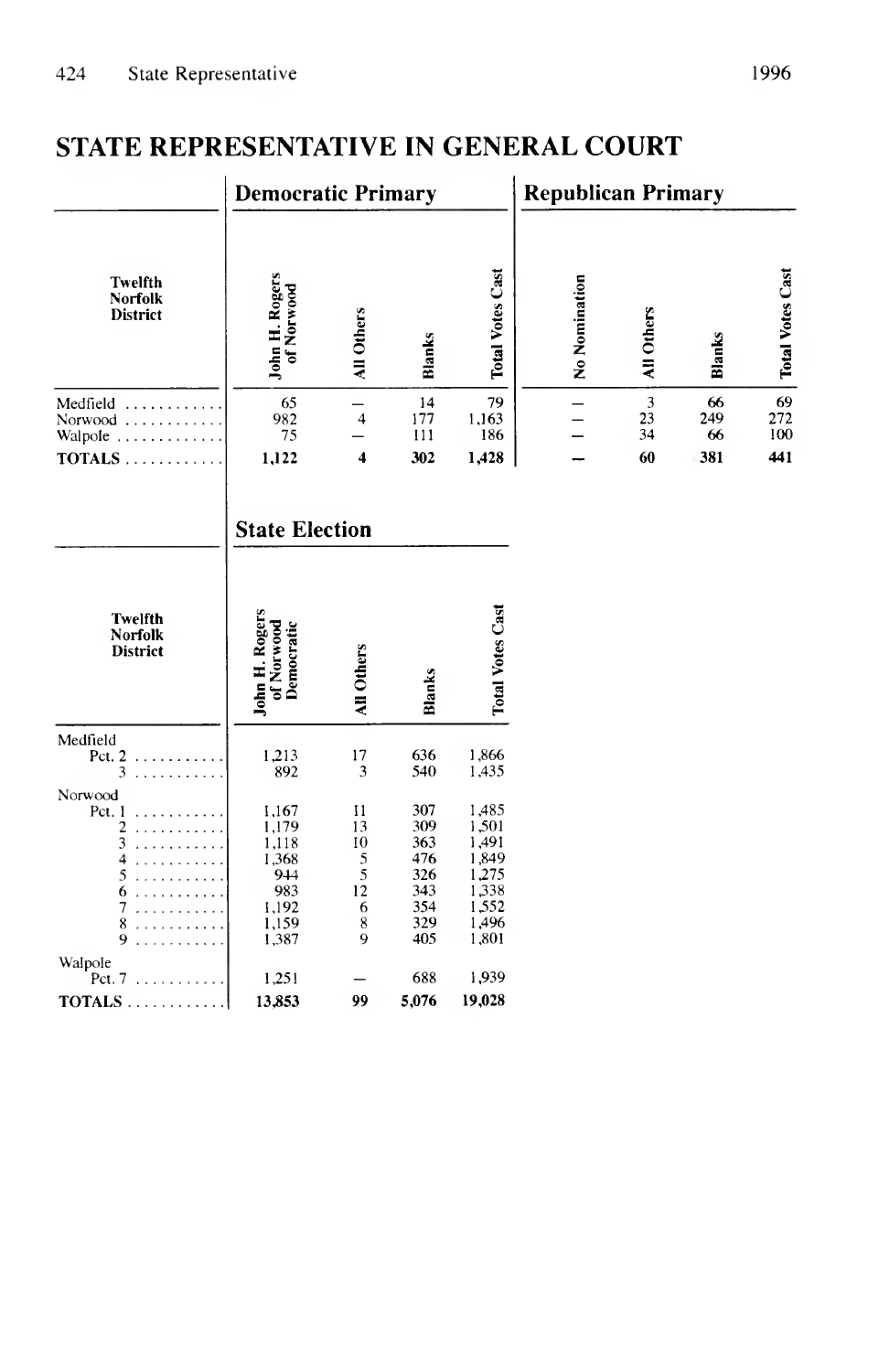|                                                                                                                                                             | <b>Democratic Primary</b>                                                 |                                                    |                                                             |                                                                               | <b>Republican Primary</b> |                     |                        |                         |
|-------------------------------------------------------------------------------------------------------------------------------------------------------------|---------------------------------------------------------------------------|----------------------------------------------------|-------------------------------------------------------------|-------------------------------------------------------------------------------|---------------------------|---------------------|------------------------|-------------------------|
| Twelfth<br>Norfolk<br><b>District</b>                                                                                                                       | John H. Rogers<br>of Norwood                                              | <b>All Others</b>                                  | Blanks                                                      | <b>Total Votes Cast</b>                                                       | No Nomination             | All Others          | Blanks                 | <b>Total Votes Cast</b> |
| Medfield<br>Norwood<br>Walpole<br>TOTALS                                                                                                                    | 65<br>982<br>75<br>1,122                                                  | $\overline{4}$<br>$\overline{\mathbf{4}}$          | 14<br>177<br>111<br>302                                     | 79<br>1,163<br>186<br>1,428                                                   |                           | 3<br>23<br>34<br>60 | 66<br>249<br>66<br>381 | 69<br>272<br>100<br>441 |
|                                                                                                                                                             | <b>State Election</b>                                                     |                                                    |                                                             |                                                                               |                           |                     |                        |                         |
| Twelfth<br>Norfolk<br><b>District</b>                                                                                                                       | John H. Rogers<br>of Norwood<br>Democratic                                | All Others                                         | Blanks                                                      | <b>Total Votes Cast</b>                                                       |                           |                     |                        |                         |
| Medfield<br>Pct. 2<br>.<br>3<br>1.1.1.1.1.1                                                                                                                 | 1,213<br>892                                                              | 17<br>3                                            | 636<br>540                                                  | 1,866<br>1,435                                                                |                           |                     |                        |                         |
| Norwood<br>Pct. 1<br>.<br>$\overline{\mathbf{c}}$<br>.<br>3<br>.<br>4<br>.<br>5<br>.<br>6<br>distribution de la constitución de la<br>7<br>8<br>.<br>9<br>. | 1,167<br>1,179<br>1,118<br>1,368<br>944<br>983<br>1,192<br>1,159<br>1,387 | $^{11}$<br>13<br>10<br>5<br>5<br>12<br>6<br>8<br>9 | 307<br>309<br>363<br>476<br>326<br>343<br>354<br>329<br>405 | 1,485<br>1,501<br>1,491<br>1,849<br>1,275<br>1,338<br>1,552<br>1,496<br>1,801 |                           |                     |                        |                         |
| Walpole<br>Pct. $7 \ldots \ldots \ldots$<br>TOTALS                                                                                                          | 1,251<br>13.853                                                           | 99                                                 | 688<br>5,076                                                | 1,939<br>19,028                                                               |                           |                     |                        |                         |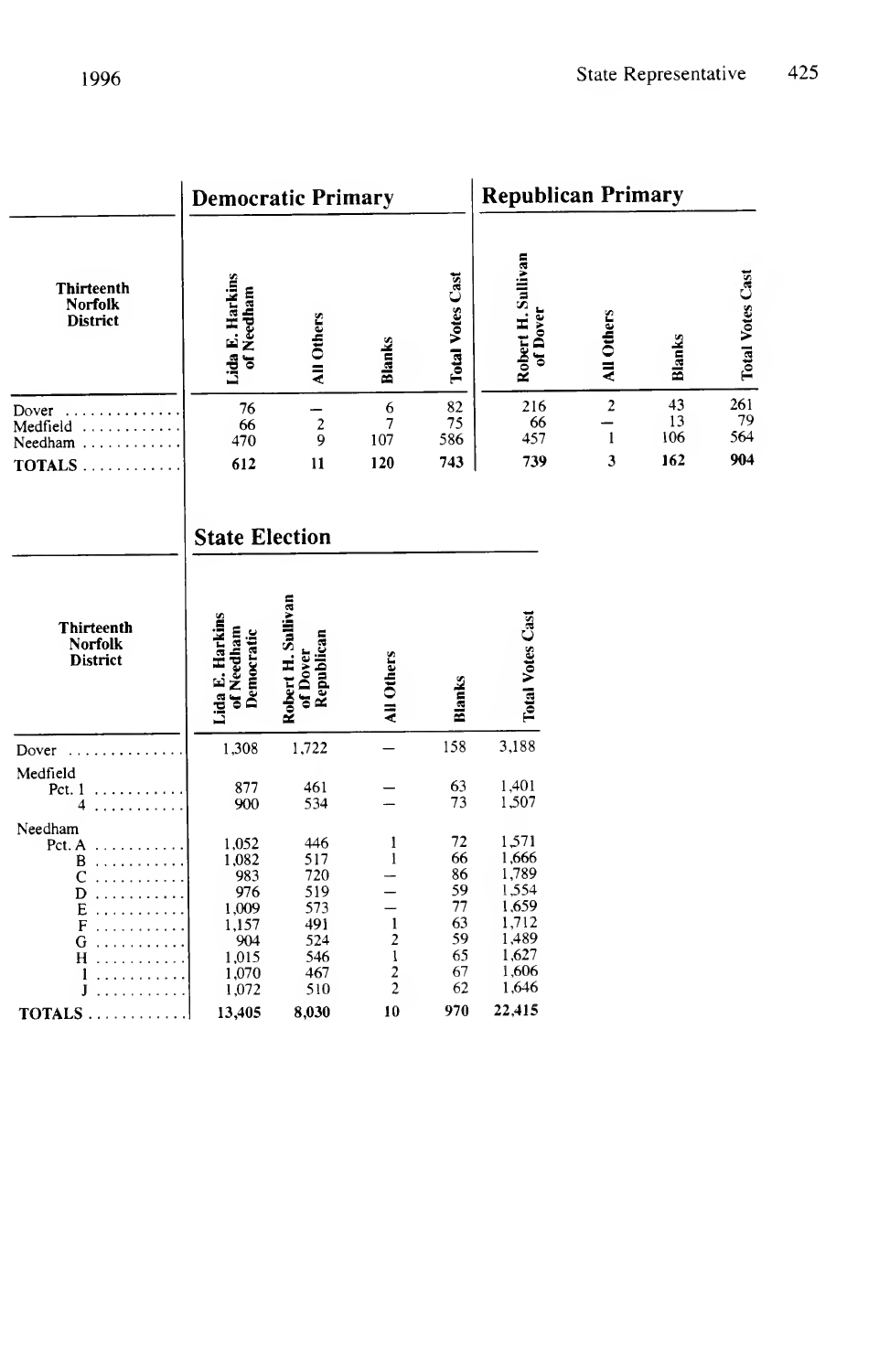|                                                                                      | <b>Democratic Primary</b>                                                                  |                                                                             |                                                           |                                                                 | <b>Republican Primary</b>                                                                        |                                                             |                        |                         |  |  |
|--------------------------------------------------------------------------------------|--------------------------------------------------------------------------------------------|-----------------------------------------------------------------------------|-----------------------------------------------------------|-----------------------------------------------------------------|--------------------------------------------------------------------------------------------------|-------------------------------------------------------------|------------------------|-------------------------|--|--|
| Thirteenth<br>Norfolk<br>District                                                    | Lida E. Harkins<br>of Needham                                                              | All Others                                                                  | Blanks                                                    | <b>Total Votes Cast</b>                                         | Robert H. Sullivan<br>of Dover                                                                   | All Others                                                  | Blanks                 | <b>Total Votes Cast</b> |  |  |
| Dover<br>.<br>Medfield<br>.<br>Needham<br>$TOTALS$                                   | 76<br>66<br>470<br>612                                                                     | $\frac{1}{2}$<br>11                                                         | 6<br>$\overline{7}$<br>107<br>120                         | 82<br>75<br>586<br>743                                          | 216<br>66<br>457<br>739                                                                          | $\boldsymbol{2}$<br>$\mathbf{1}$<br>$\overline{\mathbf{3}}$ | 43<br>13<br>106<br>162 | 261<br>79<br>564<br>904 |  |  |
|                                                                                      | <b>State Election</b>                                                                      |                                                                             |                                                           |                                                                 |                                                                                                  |                                                             |                        |                         |  |  |
| Thirteenth<br>Norfolk<br>District                                                    | Lida E. Harkins<br>of Needham<br>Democratic                                                | Robert H. Sullivan<br>Republican<br>of Dover                                | <b>All Others</b>                                         | Blanks                                                          | <b>Total Votes Cast</b>                                                                          |                                                             |                        |                         |  |  |
| Dover                                                                                | 1,308                                                                                      | 1,722                                                                       |                                                           | 158                                                             | 3,188                                                                                            |                                                             |                        |                         |  |  |
| Medfield<br>Pct. 1<br>4                                                              | 877<br>900                                                                                 | 461<br>534                                                                  |                                                           | 63<br>73                                                        | 1,401<br>1,507                                                                                   |                                                             |                        |                         |  |  |
| Needham<br>Pct. A<br>В<br>C<br>.<br>D<br>.<br>E<br>.<br>F<br>.<br>G<br>н<br>$TOTALS$ | 1,052<br>1,082<br>983<br>976<br>1,009<br>1,157<br>904<br>1,015<br>1,070<br>1,072<br>13,405 | 446<br>517<br>720<br>519<br>573<br>491<br>524<br>546<br>467<br>510<br>8,030 | 1<br>$\mathbf{1}$<br>$\frac{1}{2}$<br>$\frac{2}{2}$<br>10 | 72<br>66<br>86<br>59<br>77<br>63<br>59<br>65<br>67<br>62<br>970 | 1.571<br>1,666<br>1,789<br>1,554<br>1,659<br>1,712<br>1,489<br>1,627<br>1,606<br>1,646<br>22,415 |                                                             |                        |                         |  |  |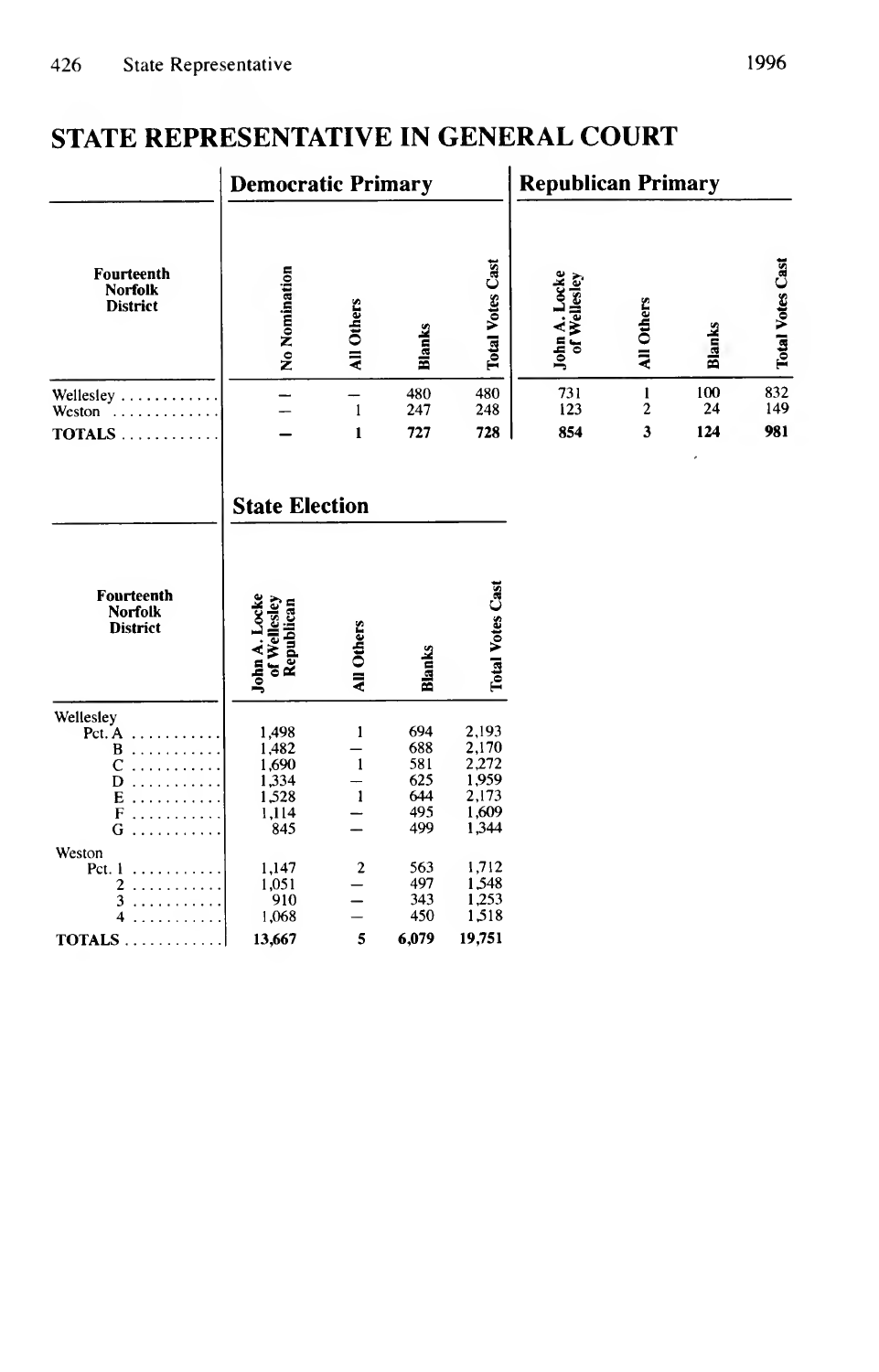|                                                                           | <b>Democratic Primary</b>                   |                                            |                          |                                  | <b>Republican Primary</b>     |                              |               |                         |
|---------------------------------------------------------------------------|---------------------------------------------|--------------------------------------------|--------------------------|----------------------------------|-------------------------------|------------------------------|---------------|-------------------------|
| Fourteenth<br><b>Norfolk</b><br><b>District</b>                           | No Nomination                               | All Others                                 | <b>Blanks</b>            | <b>Total Votes Cast</b>          | John A. Locke<br>of Wellesley | All Others                   | <b>Blanks</b> | <b>Total Votes Cast</b> |
| Wellesley<br>Weston                                                       |                                             | $\mathbf{1}$                               | 480<br>247               | 480<br>248                       | 731<br>123                    | $\mathbf{1}$<br>$\mathbf{2}$ | 100<br>24     | 832<br>149              |
| $TOTALS$                                                                  |                                             | 1                                          | 727                      | 728                              | 854                           | 3                            | 124           | 981                     |
|                                                                           | <b>State Election</b>                       |                                            |                          |                                  |                               |                              |               |                         |
| Fourteenth<br>Norfolk<br><b>District</b>                                  | John A. Locke<br>of Wellesley<br>Republican | All Others                                 | <b>Blanks</b>            | <b>Total Votes Cast</b>          |                               |                              |               |                         |
| Wellesley<br>Pct. A<br>.                                                  | 1,498                                       | 1                                          | 694                      | 2,193                            |                               |                              |               |                         |
| в<br>.                                                                    | 1,482                                       |                                            | 688                      | 2,170                            |                               |                              |               |                         |
| C<br><u>.</u><br>D<br>.                                                   | 1,690<br>1,334                              | $\mathbf{1}$                               | 581<br>625               | 2,272<br>1,959                   |                               |                              |               |                         |
| E<br>.<br>F<br>a dia ang pag-                                             | 1,528<br>1,114                              | $\mathbf{1}$                               | 644<br>495               | 2,173<br>1,609                   |                               |                              |               |                         |
| G<br>.                                                                    | 845                                         |                                            | 499                      | 1.344                            |                               |                              |               |                         |
| Weston<br>Pct. 1<br>1.1.1.1.1.1.1.1.1<br>$\mathbf{z}$<br>.<br>3<br>.<br>4 | 1,147<br>1,051<br>910<br>1,068              | $\overline{2}$<br>$\overline{\phantom{0}}$ | 563<br>497<br>343<br>450 | 1,712<br>1,548<br>1,253<br>1,518 |                               |                              |               |                         |
| $TOTALS$                                                                  | 13,667                                      | 5                                          | 6,079                    | 19,751                           |                               |                              |               |                         |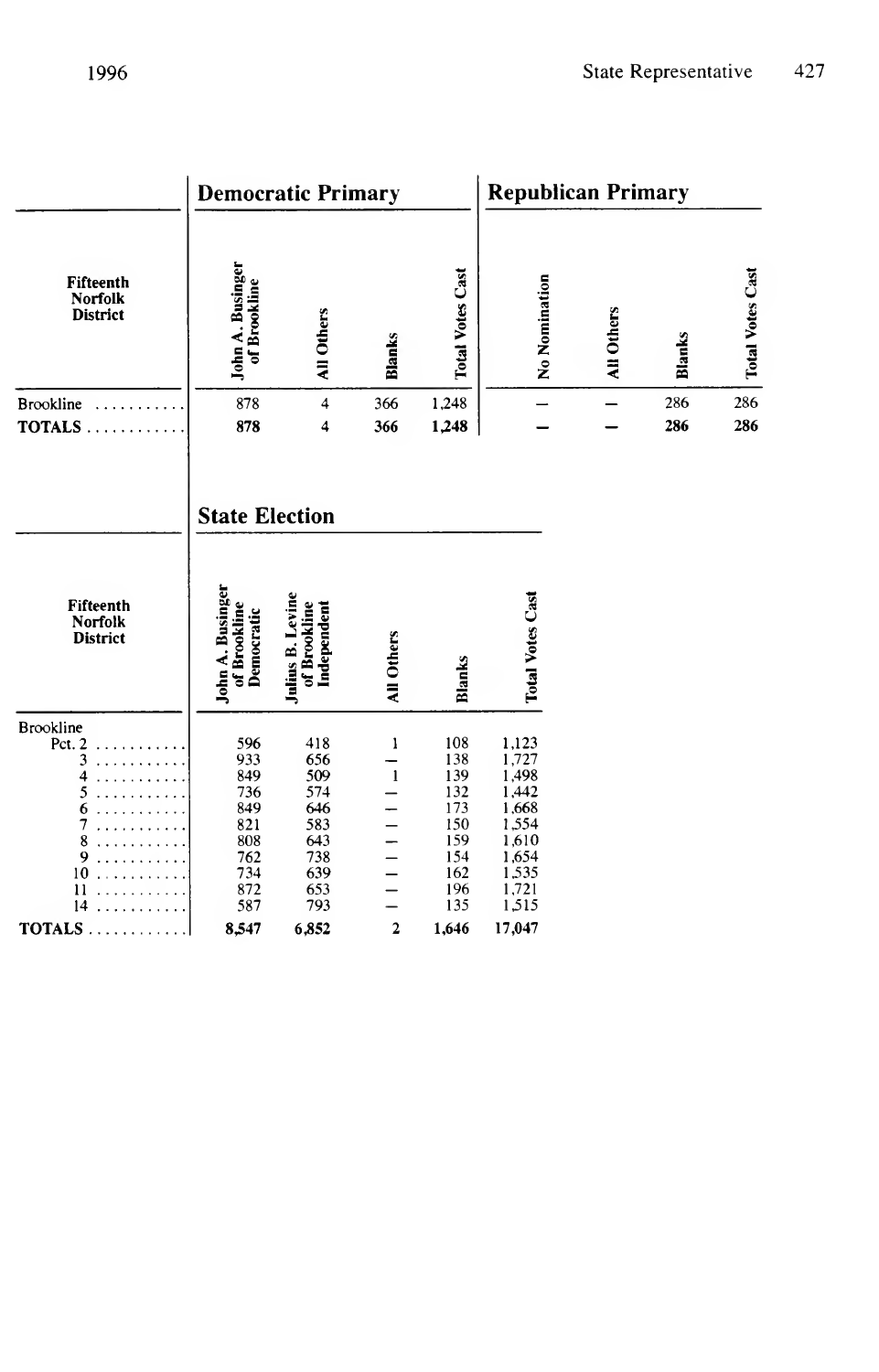|                                                                                                  |                                                                                    | <b>Democratic Primary</b>                                                          |                                                   |                                                                                    | <b>Republican Primary</b>                                                                                 |                   |        |                         |  |
|--------------------------------------------------------------------------------------------------|------------------------------------------------------------------------------------|------------------------------------------------------------------------------------|---------------------------------------------------|------------------------------------------------------------------------------------|-----------------------------------------------------------------------------------------------------------|-------------------|--------|-------------------------|--|
| Fifteenth<br>Norfolk<br><b>District</b>                                                          | John A. Businger<br>of Brookline                                                   | All Others                                                                         | Blanks                                            | <b>Total Votes Cast</b>                                                            | No Nomination                                                                                             | <b>All Others</b> | Blanks | <b>Total Votes Cast</b> |  |
| <b>Brookline</b>                                                                                 | 878                                                                                | $\overline{\mathbf{4}}$                                                            | 366                                               | 1,248                                                                              |                                                                                                           |                   | 286    | 286                     |  |
| <b>TOTALS</b>                                                                                    | 878<br><b>State Election</b>                                                       | 4                                                                                  | 366                                               | 1,248                                                                              |                                                                                                           |                   | 286    | 286                     |  |
| Fifteenth<br>Norfolk<br><b>District</b>                                                          | John A. Businger<br>of Brookline<br>Democratic                                     | Julius B. Levine<br>of Brookline<br>Independent                                    | <b>All Others</b>                                 | <b>Blanks</b>                                                                      | <b>Total Votes Cast</b>                                                                                   |                   |        |                         |  |
| <b>Brookline</b><br>Pct. 2<br>3<br>5<br>6<br>7<br>8<br>9<br>10<br>.<br>11<br>14<br><b>TOTALS</b> | 596<br>933<br>849<br>736<br>849<br>821<br>808<br>762<br>734<br>872<br>587<br>8.547 | 418<br>656<br>509<br>574<br>646<br>583<br>643<br>738<br>639<br>653<br>793<br>6,852 | 1<br>$\mathbf{I}$<br>—<br>$\overline{\mathbf{2}}$ | 108<br>138<br>139<br>132<br>173<br>150<br>159<br>154<br>162<br>196<br>135<br>1,646 | 1,123<br>1,727<br>1,498<br>1,442<br>1,668<br>1,554<br>1,610<br>1,654<br>1,535<br>1,721<br>1,515<br>17,047 |                   |        |                         |  |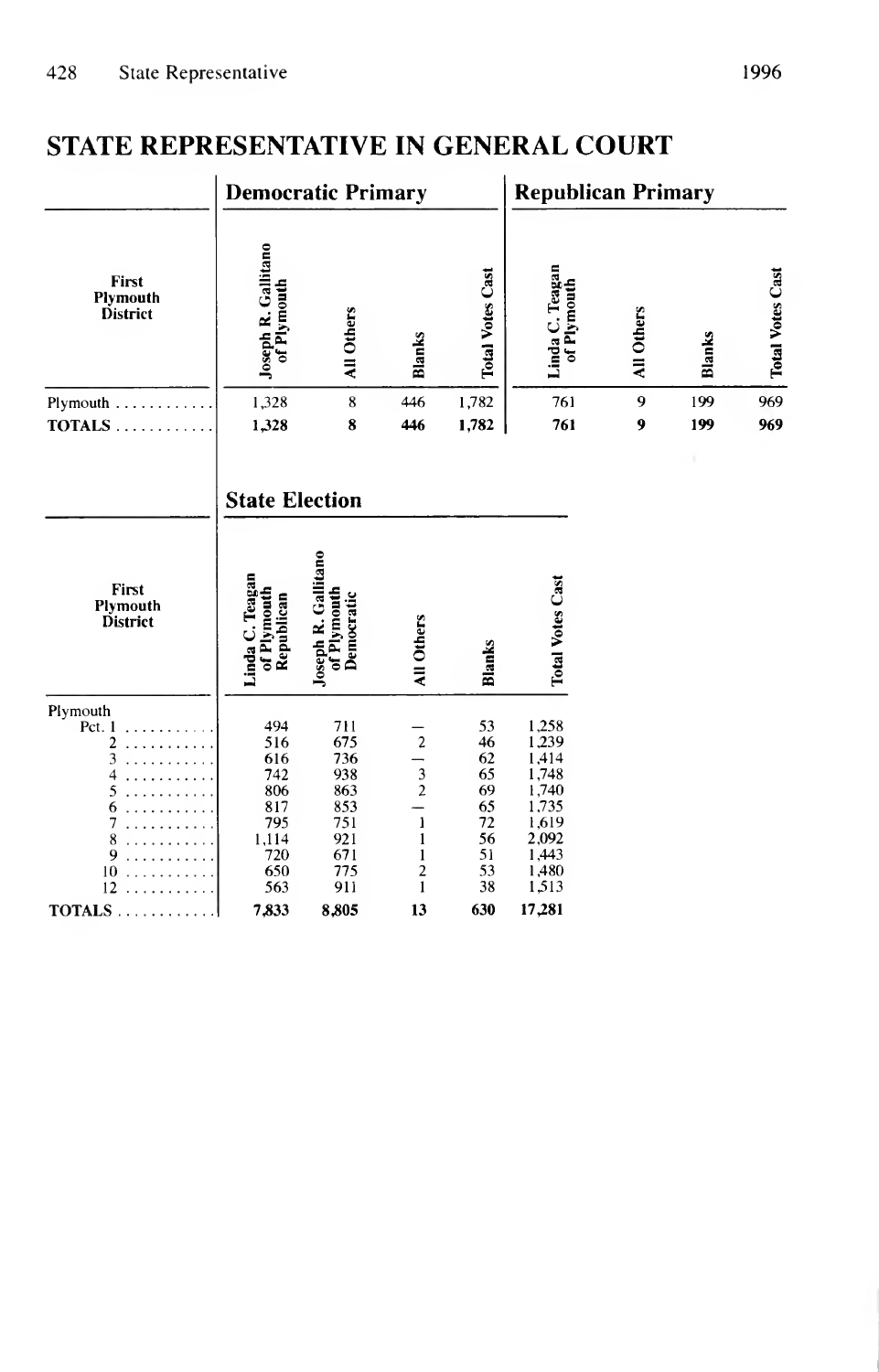|                                                                        |                                                                                      | <b>Democratic Primary</b>                                                          |                                                                                                      |                                                                       | <b>Republican Primary</b>                                                                                 |                       |            |                         |
|------------------------------------------------------------------------|--------------------------------------------------------------------------------------|------------------------------------------------------------------------------------|------------------------------------------------------------------------------------------------------|-----------------------------------------------------------------------|-----------------------------------------------------------------------------------------------------------|-----------------------|------------|-------------------------|
| First<br><b>Plymouth</b><br>District                                   | Joseph R. Gallitano<br>of Plymouth                                                   | All Others                                                                         | Blanks                                                                                               | <b>Total Votes Cast</b>                                               | Linda C. Teagan<br>of Plymouth                                                                            | All Others            | Blanks     | <b>Total Votes Cast</b> |
| Plymouth<br><b>TOTALS</b> .                                            | 1,328<br>1,328                                                                       | $\bf 8$<br>8                                                                       | 446<br>446                                                                                           | 1,782<br>1,782                                                        | 761<br>761                                                                                                | 9<br>$\boldsymbol{9}$ | 199<br>199 | 969<br>969              |
| First<br>Plymouth<br>District                                          | <b>State Election</b><br>Linda C. Teagan<br>of Plymouth<br>Republican                | <b>Joseph R. Gallitano</b><br>of Plymouth<br>Democratic                            | All Others                                                                                           | <b>Blanks</b>                                                         | <b>Total Votes Cast</b>                                                                                   |                       |            |                         |
| Plymouth<br>Pct. 1<br>3<br>4<br>5<br>6<br>8<br>9<br>10<br>12<br>TOTALS | 494<br>516<br>616<br>742<br>806<br>817<br>795<br>1,114<br>720<br>650<br>563<br>7,833 | 711<br>675<br>736<br>938<br>863<br>853<br>751<br>921<br>671<br>775<br>911<br>8,805 | $\overline{\mathbf{c}}$<br>$\frac{1}{3}$<br>$\mathbf{1}$<br>1<br>$\mathbf{1}$<br>$\frac{2}{1}$<br>13 | 53<br>46<br>62<br>65<br>69<br>65<br>72<br>56<br>51<br>53<br>38<br>630 | 1,258<br>1,239<br>1,414<br>1,748<br>1,740<br>1,735<br>1,619<br>2,092<br>1,443<br>1,480<br>1,513<br>17,281 |                       |            |                         |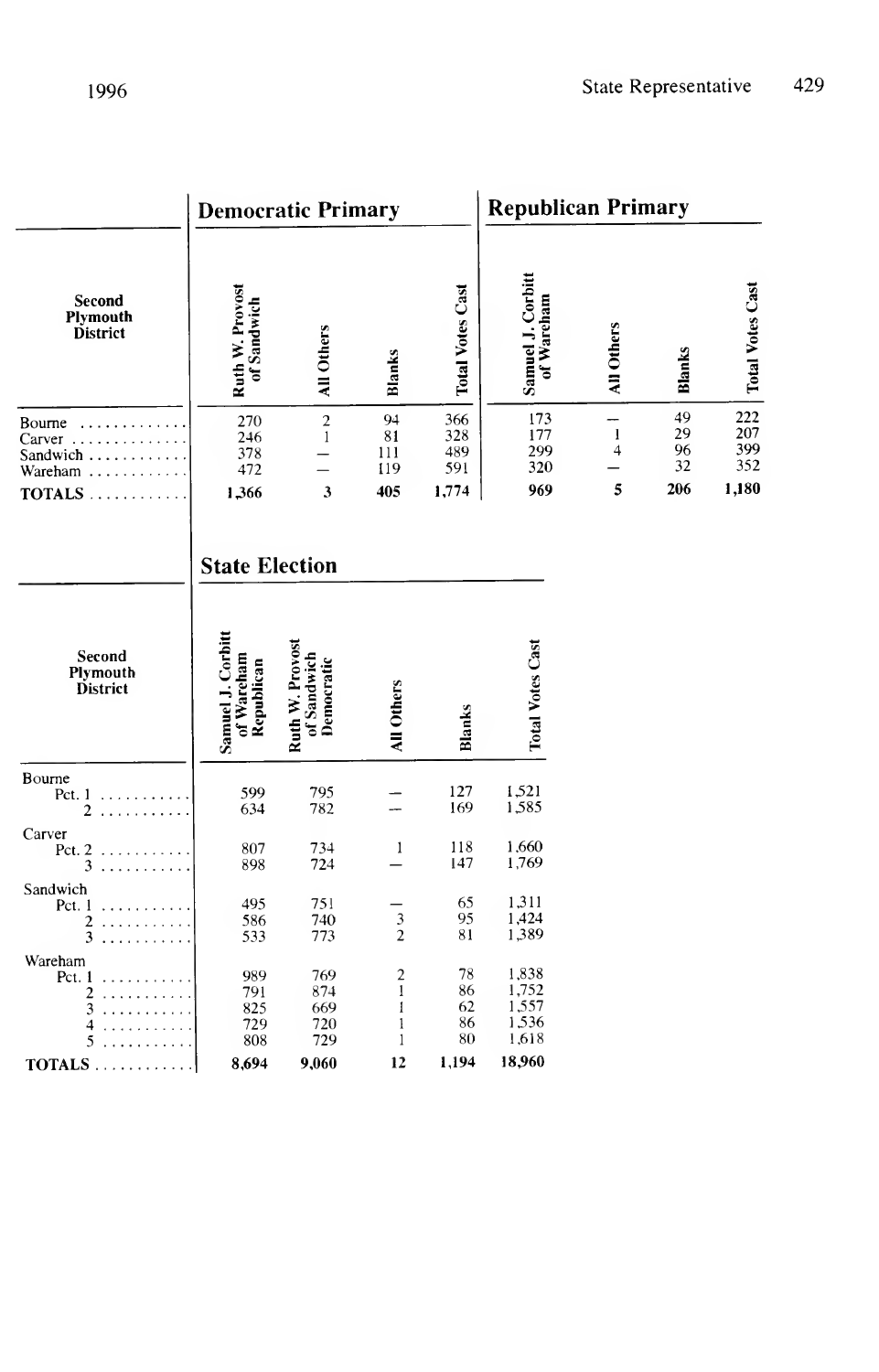| Ruth W. Provost<br>of Sandwich                | <b>All Others</b>                                         | Blanks                                                            | <b>Total Votes Cast</b>           | Samuel J. Corbitt<br>of Wareham           | All Others                                       | <b>Blanks</b>               | <b>Total Votes Cast</b>           |
|-----------------------------------------------|-----------------------------------------------------------|-------------------------------------------------------------------|-----------------------------------|-------------------------------------------|--------------------------------------------------|-----------------------------|-----------------------------------|
| 270<br>246<br>378<br>472<br>1,366             | $\overline{2}$<br>$\mathbf{1}$<br>$\overline{\mathbf{3}}$ | 94<br>81<br>111<br>119<br>405                                     | 366<br>328<br>489<br>591<br>1,774 | 173<br>177<br>299<br>320<br>969           | -<br>$\mathbf 1$<br>$\overline{\mathbf{4}}$<br>5 | 49<br>29<br>96<br>32<br>206 | 222<br>207<br>399<br>352<br>1,180 |
|                                               |                                                           |                                                                   |                                   |                                           |                                                  |                             |                                   |
| Samuel J. Corbitt<br>of Wareham<br>Republican | Ruth W. Provost<br>of Sandwich<br>Democratic              | <b>All Others</b>                                                 | Blanks                            | <b>Total Votes Cast</b>                   |                                                  |                             |                                   |
| 599<br>634                                    | 795<br>782                                                |                                                                   | 127<br>169                        | 1.521<br>1,585                            |                                                  |                             |                                   |
| 807<br>898                                    | 734<br>724                                                | 1                                                                 | 118<br>147                        | 1,660<br>1,769                            |                                                  |                             |                                   |
| 495<br>586<br>533                             | 751<br>740<br>773                                         | $\frac{3}{2}$                                                     | 65<br>95<br>81                    | 1,311<br>1,424<br>1,389                   |                                                  |                             |                                   |
| 989<br>791<br>825<br>729<br>808               | 769<br>874<br>669<br>720<br>729                           | 2<br>$\mathbf{1}$<br>$\mathbf{1}$<br>$\mathbf{1}$<br>$\mathbf{1}$ | 78<br>86<br>62<br>86<br>80        | 1,838<br>1,752<br>1,557<br>1.536<br>1,618 |                                                  |                             |                                   |
|                                               | 8,694                                                     | <b>State Election</b><br>9,060                                    | <b>Democratic Primary</b><br>12   | 1,194                                     | 18,960                                           |                             | <b>Republican Primary</b>         |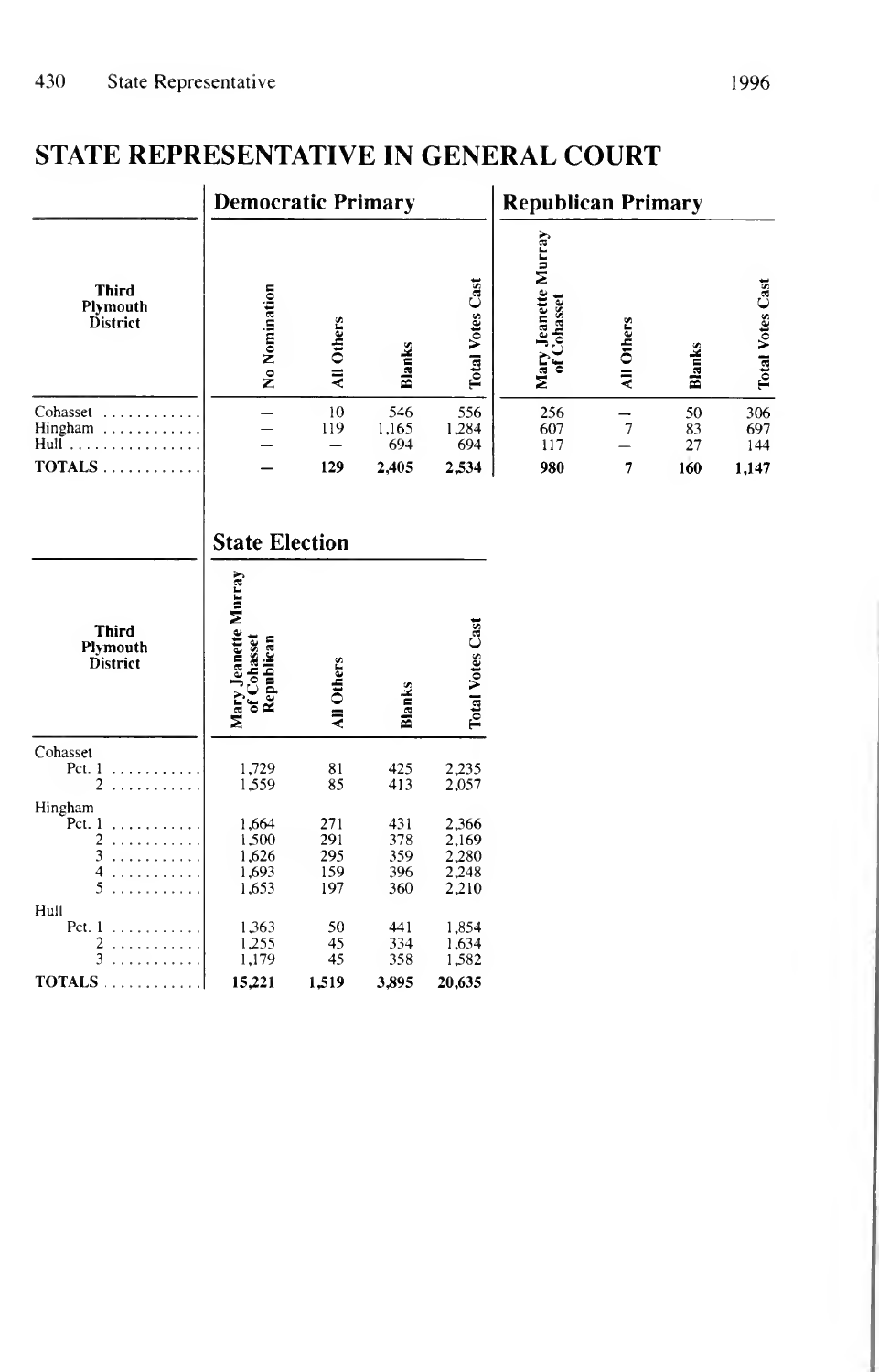|                                                                                        | <b>Democratic Primary</b>                         |                                 |                                 |                                           |                                     | <b>Republican Primary</b> |           |                         |  |  |
|----------------------------------------------------------------------------------------|---------------------------------------------------|---------------------------------|---------------------------------|-------------------------------------------|-------------------------------------|---------------------------|-----------|-------------------------|--|--|
| <b>Third</b><br>Plymouth<br>District                                                   | No Nomination                                     | All Others                      | Blanks                          | <b>Total Votes Cast</b>                   | Mary Jeanette Murray<br>of Cohasset | All Others                | Blanks    | <b>Total Votes Cast</b> |  |  |
| Cohasset<br>Hingham                                                                    | —                                                 | 10<br>119                       | 546<br>1,165                    | 556<br>1,284                              | 256<br>607                          | -<br>$\overline{7}$       | 50<br>83  | 306<br>697              |  |  |
| Hull<br>a a a a a a a a a<br><b>TOTALS.</b>                                            |                                                   | 129                             | 694<br>2,405                    | 694<br>2,534                              | 117<br>980                          | $\overline{7}$            | 27<br>160 | 144<br>1,147            |  |  |
|                                                                                        | <b>State Election</b>                             |                                 |                                 |                                           |                                     |                           |           |                         |  |  |
| <b>Third</b><br>Plymouth<br>District                                                   | Mary Jeanette Murray<br>of Cohasset<br>Republican | All Others                      | Blanks                          | <b>Total Votes Cast</b>                   |                                     |                           |           |                         |  |  |
| Cohasset<br>Pct. 1<br>.<br>$\overline{2}$<br>.                                         | 1,729<br>1,559                                    | 81<br>85                        | 425<br>413                      | 2,235<br>2,057                            |                                     |                           |           |                         |  |  |
| Hingham<br>Pct. 1<br>$\overline{\mathbf{c}}$<br>$\overline{\mathbf{3}}$<br>4<br>.<br>5 | 1,664<br>1,500<br>1,626<br>1,693<br>1,653         | 271<br>291<br>295<br>159<br>197 | 431<br>378<br>359<br>396<br>360 | 2,366<br>2,169<br>2,280<br>2,248<br>2,210 |                                     |                           |           |                         |  |  |
| Hull<br>Pct. 1<br>.<br>$\overline{\mathbf{c}}$<br>3<br>.                               | 1,363<br>1,255<br>1,179                           | 50<br>45<br>45                  | 441<br>334<br>358               | 1,854<br>1,634<br>1,582                   |                                     |                           |           |                         |  |  |
| $TOTALS$                                                                               | 15,221                                            | 1,519                           | 3,895                           | 20,635                                    |                                     |                           |           |                         |  |  |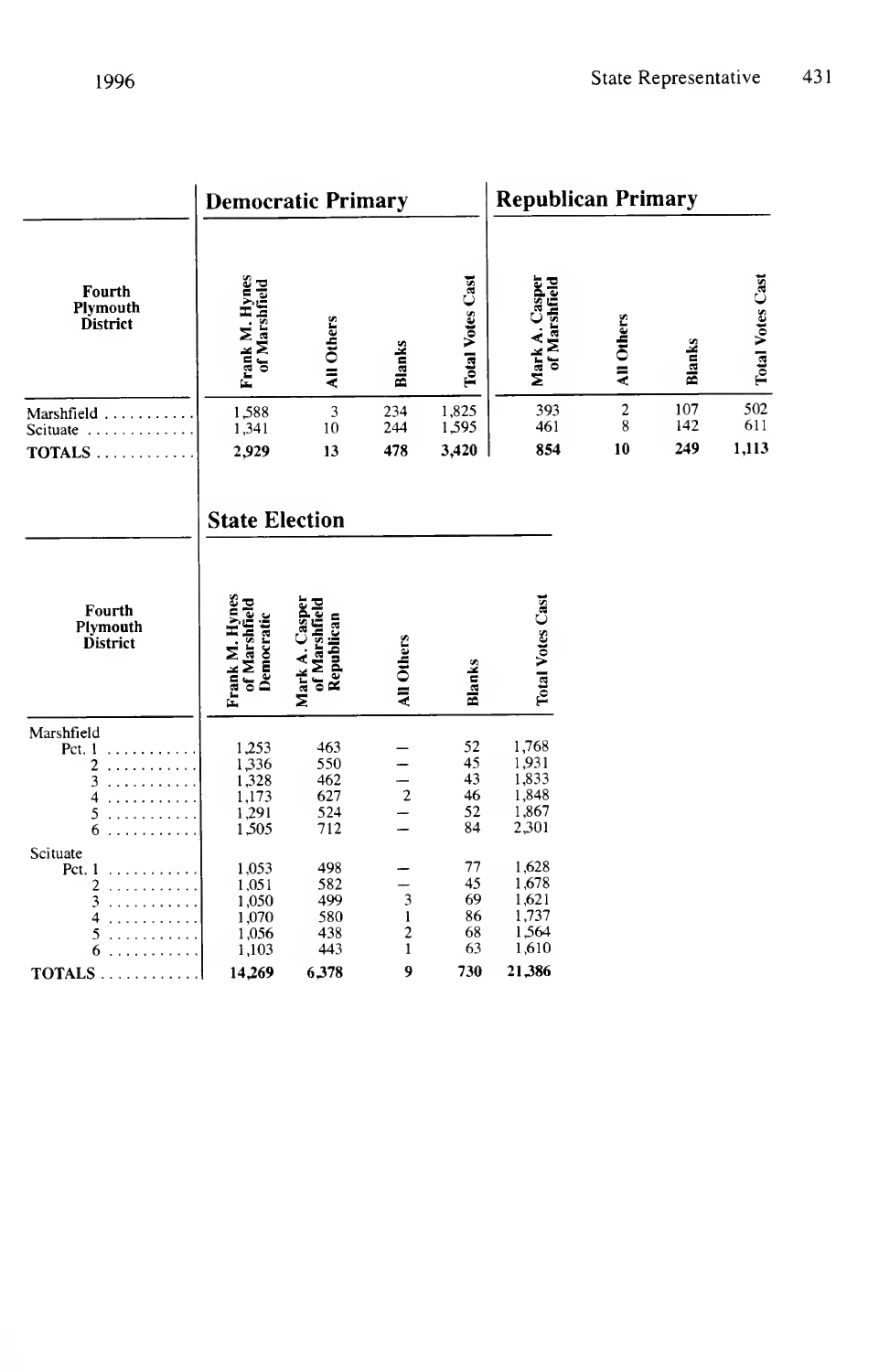|                                                         | <b>Democratic Primary</b>                            |                                               |                                                              |                                  | <b>Republican Primary</b>                          |                       |                   |                         |
|---------------------------------------------------------|------------------------------------------------------|-----------------------------------------------|--------------------------------------------------------------|----------------------------------|----------------------------------------------------|-----------------------|-------------------|-------------------------|
| Fourth<br>Plymouth<br>District                          | Frank M. Hynes<br>of Marshfield                      | <b>All Others</b>                             | <b>Blanks</b>                                                | <b>Total Votes Cast</b>          | Mark A. Casper<br>of Marshfield                    | <b>All Others</b>     | Blanks            | <b>Total Votes Cast</b> |
| Marshfield<br>Scituate<br>TOTALS                        | 1,588<br>1,341<br>2,929                              | 3<br>10<br>13                                 | 234<br>244<br>478                                            | 1,825<br>1,595<br>3,420          | 393<br>461<br>854                                  | $\sqrt{2}$<br>8<br>10 | 107<br>142<br>249 | 502<br>611<br>1,113     |
|                                                         | <b>State Election</b>                                |                                               |                                                              |                                  |                                                    |                       |                   |                         |
| Fourth<br>Plymouth<br>District                          | <b>Frank M. Hynes</b><br>of Marshfield<br>Democratic | of Marshfield<br>Mark A. Casper<br>Republican | All Others                                                   | Blanks                           | <b>Total Votes Cast</b>                            |                       |                   |                         |
| Marshfield<br>Pct. 1<br>2<br>3<br>4<br>5<br>.<br>6<br>. | 1,253<br>1,336<br>1,328<br>1.173<br>1,291<br>1,505   | 463<br>550<br>462<br>627<br>524<br>712        | $\overline{c}$                                               | 52<br>45<br>43<br>46<br>52<br>84 | 1,768<br>1,931<br>1,833<br>1,848<br>1,867<br>2.301 |                       |                   |                         |
| Scituate<br>Pct.1<br>2<br>3<br>4<br>5<br>6              | 1,053<br>1,051<br>1,050<br>1,070<br>1,056<br>1,103   | 498<br>582<br>499<br>580<br>438<br>443        | 3<br>$\mathbf{1}$<br>$\overline{\mathbf{c}}$<br>$\mathbf{1}$ | 77<br>45<br>69<br>86<br>68<br>63 | 1.628<br>1,678<br>1,621<br>1,737<br>1,564<br>1,610 |                       |                   |                         |
| $TOTALS$                                                | 14,269                                               | 6,378                                         | 9                                                            | 730                              | 21,386                                             |                       |                   |                         |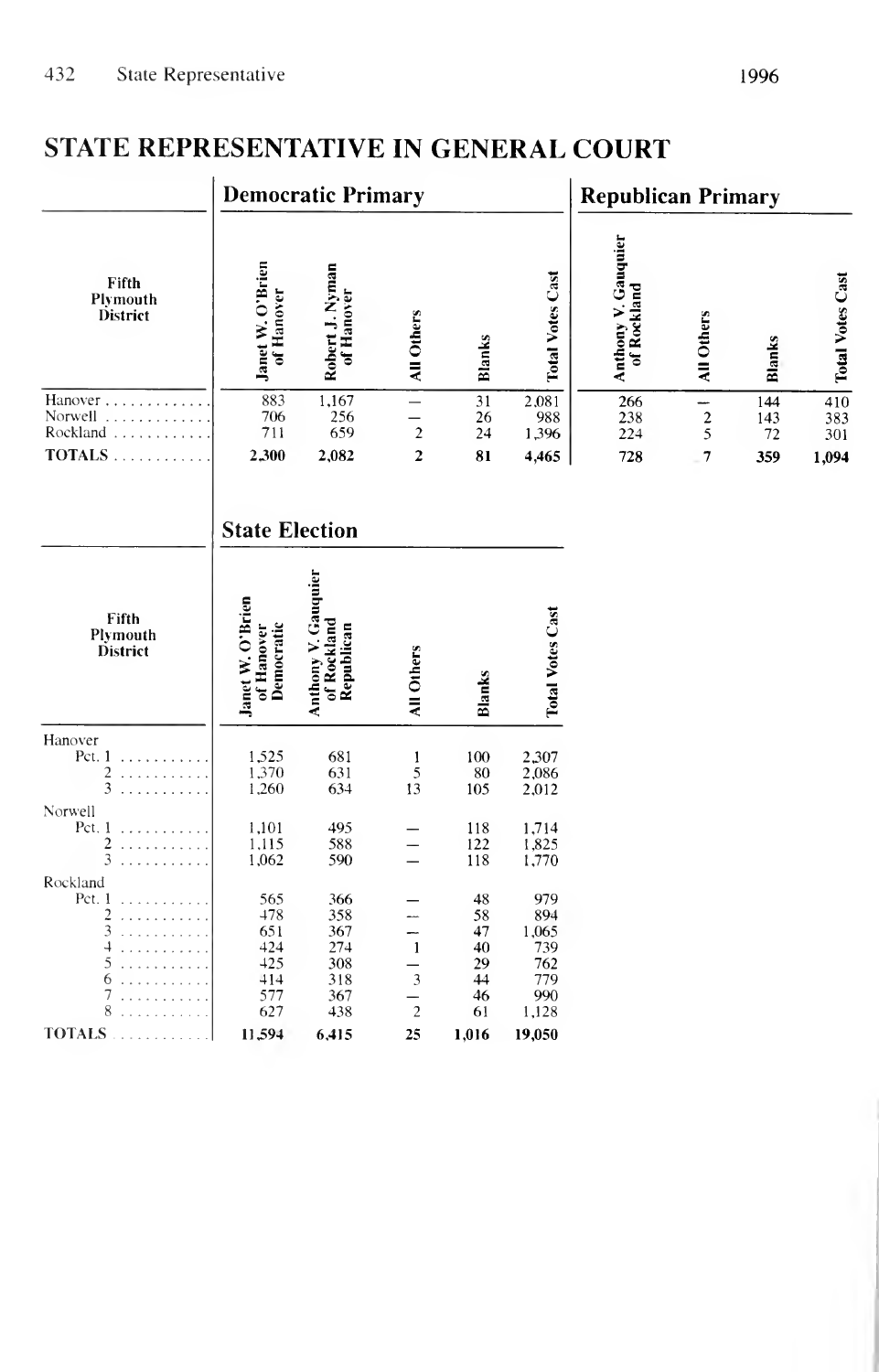|                                                                                                         | <b>Democratic Primary</b><br><b>Republican Primary</b>         |                                                               |                                                           |                                                       |                                                                    |                                    |                                |                         |                            |
|---------------------------------------------------------------------------------------------------------|----------------------------------------------------------------|---------------------------------------------------------------|-----------------------------------------------------------|-------------------------------------------------------|--------------------------------------------------------------------|------------------------------------|--------------------------------|-------------------------|----------------------------|
| Fifth<br>Plymouth<br>District                                                                           | Janet W. O'Brien<br>of Hanover                                 | Robert J. Nyman<br>of Hanover                                 | <b>All Others</b>                                         | Blanks                                                | <b>Total Votes Cast</b>                                            | Anthony V. Gauquier<br>of Rockland | <b>All Others</b>              | <b>Blanks</b>           | <b>Total Votes Cast</b>    |
| Hanover<br>Norwell<br>Rockland<br>TOTALS                                                                | 883<br>706<br>711<br>2,300                                     | 1,167<br>256<br>659<br>2,082                                  | $\overline{\phantom{0}}$<br>$\mathbf 2$<br>$\overline{2}$ | 31<br>26<br>24<br>81                                  | 2,081<br>988<br>1,396<br>4,465                                     | 266<br>238<br>224<br>728           | <u>.</u><br>$\frac{2}{5}$<br>7 | 144<br>143<br>72<br>359 | 410<br>383<br>301<br>1,094 |
|                                                                                                         | <b>State Election</b>                                          |                                                               |                                                           |                                                       |                                                                    |                                    |                                |                         |                            |
| Fifth<br>Plymouth<br>District                                                                           | Janet W. O'Brien<br>Democratic<br>of Hanover                   | Anthony V. Gauquier<br>of Rockland<br>Republican              | <b>All Others</b>                                         | Blanks                                                | <b>Total Votes Cast</b>                                            |                                    |                                |                         |                            |
| Hanover<br>Pct. 1<br>.<br>$\overline{\mathbf{c}}$<br>.<br>3<br>dia anala dia amin'ny                    | 1,525<br>1,370<br>1,260                                        | 681<br>631<br>634                                             | -1<br>5<br>13                                             | 100<br>80<br>105                                      | 2,307<br>2.086<br>2,012                                            |                                    |                                |                         |                            |
| Norwell<br>Pct. 1<br>.<br>$\overline{c}$<br>dia a dia a dia<br>3                                        | 1,101<br>1,115<br>1,062                                        | 495<br>588<br>590                                             |                                                           | 118<br>122<br>118                                     | 1,714<br>1,825<br>1,770                                            |                                    |                                |                         |                            |
| Rockland<br>Pct. 1<br>.<br>.<br>a a che anche anche<br>a a a an an an a<br>.<br>8<br><b>TOTALS</b><br>. | 565<br>478<br>651<br>424<br>425<br>414<br>577<br>627<br>11,594 | 366<br>358<br>367<br>274<br>308<br>318<br>367<br>438<br>6,415 | $\mathbf{1}$<br>$\mathfrak{Z}$<br>$\frac{1}{2}$<br>25     | 48<br>58<br>47<br>40<br>29<br>44<br>46<br>61<br>1,016 | 979<br>894<br>1,065<br>739<br>762<br>779<br>990<br>1,128<br>19,050 |                                    |                                |                         |                            |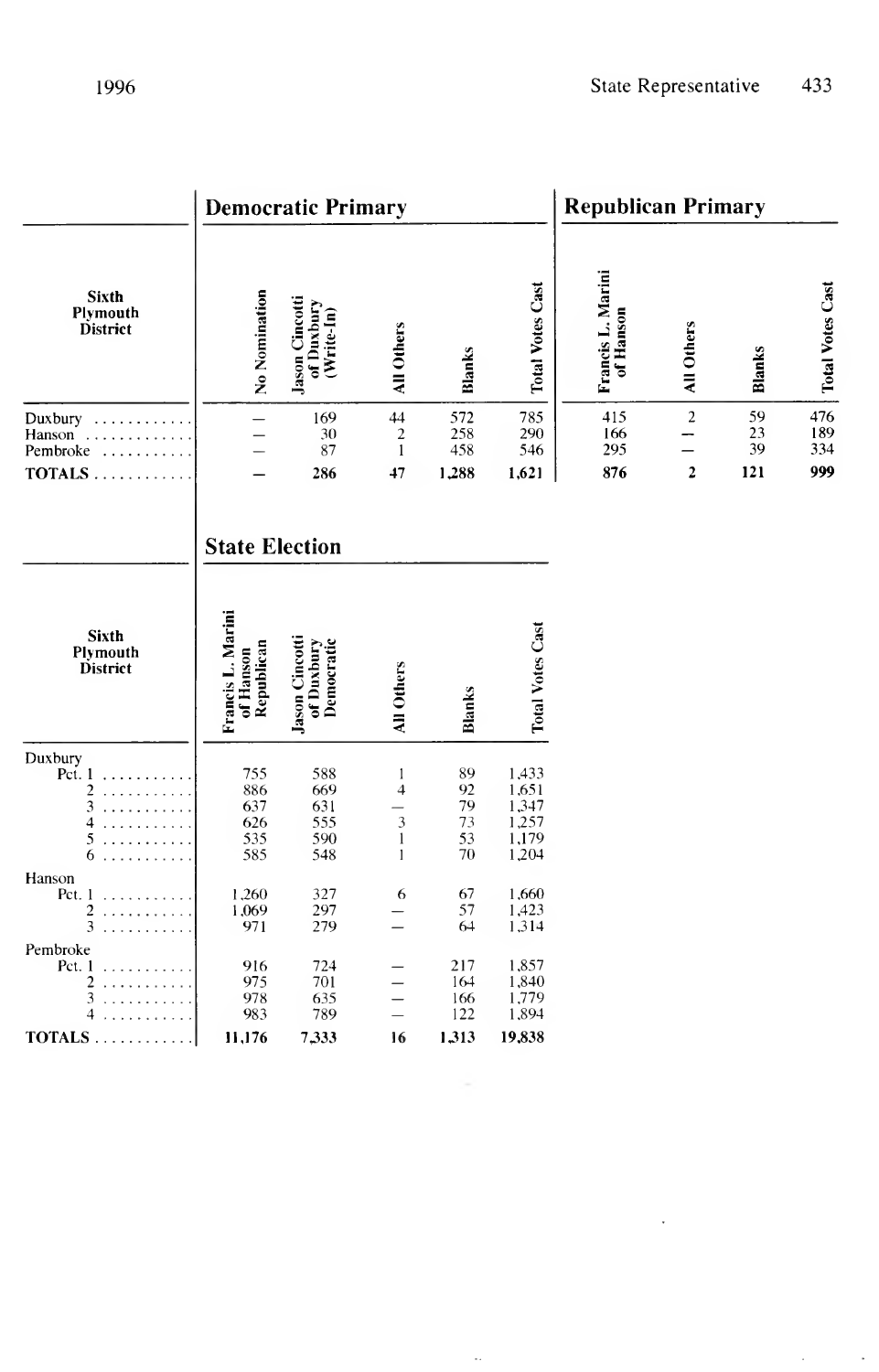$\ddot{\phantom{0}}$ 

 $\mathcal{L}^{\text{max}}$ 

 $\lambda$ 

|                                                                                  |                                              | <b>Democratic Primary</b>                         |                               |                                  |                                                    | <b>Republican Primary</b>      |                                                                   |                       |                          |
|----------------------------------------------------------------------------------|----------------------------------------------|---------------------------------------------------|-------------------------------|----------------------------------|----------------------------------------------------|--------------------------------|-------------------------------------------------------------------|-----------------------|--------------------------|
| Sixth<br>Plymouth<br>District                                                    | No Nomination                                | <b>Jason Cincotti</b><br>of Duxbury<br>(Write-In) | All Others                    | Blanks                           | <b>Total Votes Cast</b>                            | Francis L. Marini<br>of Hanson | All Others                                                        | Blanks                | <b>Total Votes Cast</b>  |
| Duxbury<br>$Hanson \dots \dots \dots \dots$<br>Pembroke<br>1.1.1.1.1.1<br>TOTALS | —                                            | 169<br>30<br>87<br>286                            | 44<br>2<br>$\mathbf{I}$<br>47 | 572<br>258<br>458<br>1,288       | 785<br>290<br>546<br>1,621                         | 415<br>166<br>295<br>876       | $\overline{2}$<br>-<br>$\overline{\phantom{0}}$<br>$\overline{2}$ | 59<br>23<br>39<br>121 | 476<br>189<br>334<br>999 |
|                                                                                  | <b>State Election</b>                        |                                                   |                               |                                  |                                                    |                                |                                                                   |                       |                          |
| Sixth<br>Plymouth<br>District                                                    | Francis L. Marini<br>Republican<br>of Hanson | <b>Jason Cincotti</b><br>of Duxbury<br>Democratic | All Others                    | <b>Blanks</b>                    | <b>Total Votes Cast</b>                            |                                |                                                                   |                       |                          |
| Duxbury<br>Pct. 1<br>3<br>5<br>6                                                 | 755<br>886<br>637<br>626<br>535<br>585       | 588<br>669<br>631<br>555<br>590<br>548            | 1<br>4<br>$\frac{1}{3}$<br>1  | 89<br>92<br>79<br>73<br>53<br>70 | 1,433<br>1,651<br>1,347<br>1,257<br>1,179<br>1.204 |                                |                                                                   |                       |                          |
| Hanson<br>Pct. 1<br>$\frac{2}{3}$                                                | 1.260<br>1,069<br>971                        | 327<br>297<br>279                                 | 6                             | 67<br>57<br>64                   | 1,660<br>1,423<br>1.314                            |                                |                                                                   |                       |                          |
| Pembroke<br>Pct. 1<br>$\overline{\mathbf{c}}$<br>3<br>4                          | 916<br>975<br>978<br>983                     | 724<br>701<br>635<br>789                          | $\overline{\phantom{0}}$      | 217<br>164<br>166<br>122         | 1,857<br>1,840<br>1,779<br>1,894                   |                                |                                                                   |                       |                          |
| TOTALS                                                                           | 11,176                                       | 7,333                                             | 16                            | 1,313                            | 19,838                                             |                                |                                                                   |                       |                          |

 $\ddot{\phantom{a}}$